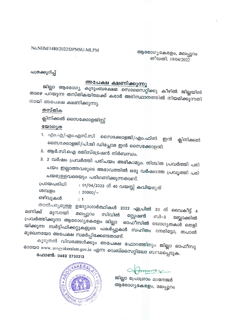### No.NHM/1480/2022/DPMSU-MLPM

ആരോഗ്യകേരളം, മലപ്പുറം തീയതി. 19/04/2022

### പത്രക്കുറിപ്പ്

## അപേക്ഷ ക്ഷണിക്കുന്നു

ജില്ലാ ആരോഗ്യ കുടുംബക്ഷേമ സൊസൈറ്റിക്കു കീഴിൽ ജില്ലയിൽ താഴെ പറയുന്ന തസ്തികയിലേക്ക് കരാർ അടിസ്ഥാനത്തിൽ നിയമിക്കുന്നതി നായി അപേക്ഷ ക്ഷണിക്കുന്നു.

തസ്തിക

ക്ലിനിക്കൽ സൈക്കോളജിസ്റ്റ്

#### യോഗ്യത

- 1. എ൦.എ/എ൦.എസ്.സി സൈക്കോളജി/എ൦.ഫിൽ ഇൻ ക്ലിനിക്കൽ സൈക്കോളജി/പി.ജി ഡിപ്ലോമ ഇൻ സൈക്കോളജി.
- 2. ആർ.സി.ഐ രജിസ്ട്രേഷൻ നിർബന്ധം.
- 3. 2 വർഷം പ്രവർത്തി പരിചയം അഭികാമ്യം. നിശ്ചിത പ്രവർത്തി പരി ചയം ഇല്ലാത്തവരുടെ അഭാവത്തിൽ ഒരു വർഷത്തെ പ്രവൃത്തി പരി ചയമുള്ളവരെയും പരിഗണിക്കുന്നതാണ്.

പ്രായപരിധി : 01/04/2022 ന് 40 വയസ്സ് കവിയരുത് ശമ്പളം  $: 20000/-$ ഒഴിവുകൾ  $: 1$ 

താൽപര്യമുള്ള ഉദ്യോഗാർത്ഥികൾ 2022 ഏപ്രിൽ 30 ന് വൈകീട്ട് 4 മണിക്ക് മുമ്പായി മലപ്പുറം സിവിൽ സ്റ്റേഷൻ ബി–3 പ്രവർത്തിക്കുന്ന ആരോഗ്യകേരളം ജില്ലാ ഓഫീസിൽ യോഗ്യതകൾ തെളി ബ്ലോക്കിൽ യിക്കുന്ന സർട്ടിഫിക്കറ്റുകളുടെ പകർപ്പുകൾ സഹിതം നേരിട്ടോ, തപാൽ മുഖേനയോ അപേക്ഷ സമർപ്പിക്കേണ്ടതാണ്.

കൂടുതൽ വിവരങ്ങൾക്കും അപേക്ഷ ഫോറത്തിനും ജില്ലാ ഓഫീസു മായോ www.arogyakeralam.gov.in എന്ന വെബ്സൈറ്റിലോ ബന്ധപ്പെടുക.

## ഫോൺ: 0483 2730313



ജില്ലാ പ്രോഗ്രാം മാനേജർ ആരോഗ്യകേരളം, മലപ്പുറം